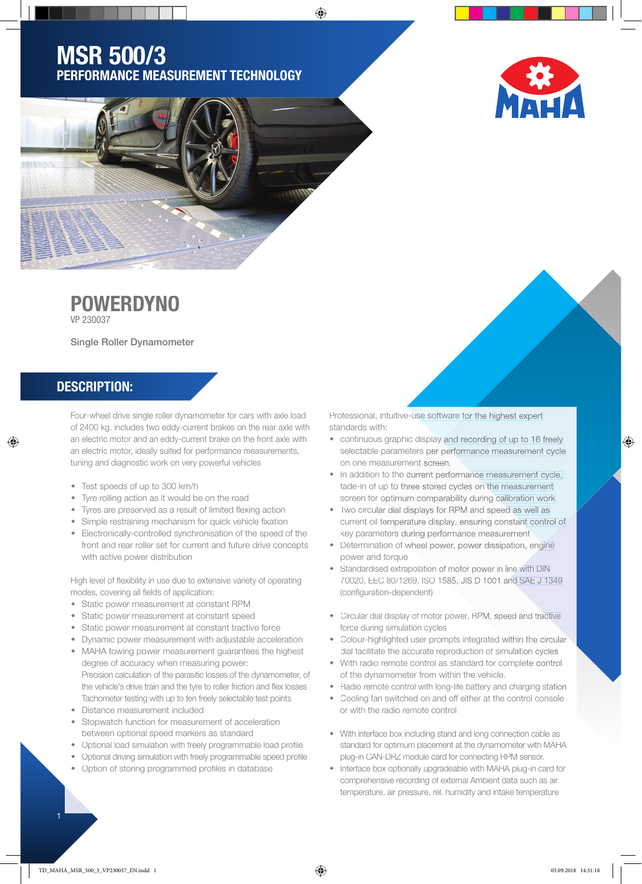# MSR 500/3 PERFORMANCE MEASUREMENT TECHNOLOGY

⊕





# **POWERDYNO**

VP 230037

Single Roller Dynamometer

## DESCRIPTION:

♠

Four-wheel drive single roller dynamometer for cars with axle load of 2400 kg, includes two eddy-current brakes on the rear axle with an electric motor and an eddy-current brake on the front axle with an electric motor, ideally suited for performance measurements, tuning and diagnostic work on very powerful vehicles

- Test speeds of up to 300 km/h
- Tyre rolling action as it would be on the road
- Tyres are preserved as a result of limited flexing action
- Simple restraining mechanism for quick vehicle fixation
- Electronically-controlled synchronisation of the speed of the front and rear roller set for current and future drive concepts with active power distribution

High level of flexibility in use due to extensive variety of operating modes, covering all fields of application:

- Static power measurement at constant RPM
- Static power measurement at constant speed
- Static power measurement at constant tractive force
- Dynamic power measurement with adjustable acceleration MAHA towing power measurement guarantees the highest degree of accuracy when measuring power: Precision calculation of the parasitic losses of the dynamometer, of the vehicle's drive train and the tyre to roller friction and flex losses
- Tachometer testing with up to ten freely selectable test points Distance measurement included
- Stopwatch function for measurement of acceleration between optional speed markers as standard
- Optional load simulation with freely programmable load profile
- Optional driving simulation with freely programmable speed profile
- Option of storing programmed profiles in database

Professional, intuitive-use software for the highest expert standards with:

- continuous graphic display and recording of up to 16 freely selectable parameters per performance measurement cycle on one measurement screen.
- In addition to the current performance measurement cycle, fade-in of up to three stored cycles on the measurement screen for optimum comparability during calibration work
- Two circular dial displays for RPM and speed as well as current oil temperature display, ensuring constant control of key parameters during performance measurement
- Determination of wheel power, power dissipation, engine power and torque
- Standardised extrapolation of motor power in line with DIN 70020, EEC 80/1269, ISO 1585, JIS D 1001 and SAE J 1349 (configuration-dependent)
- Circular dial display of motor power, RPM, speed and tractive force during simulation cycles
- Colour-highlighted user prompts integrated within the circular dial facilitate the accurate reproduction of simulation cycles
- With radio remote control as standard for complete control of the dynamometer from within the vehicle.
- Radio remote control with long-life battery and charging station
- Cooling fan switched on and off either at the control console or with the radio remote control
- With interface box including stand and long connection cable as standard for optimum placement at the dynamometer with MAHA plug-in CAN-DRZ module card for connecting RPM sensor.
- Interface box optionally upgradeable with MAHA plug-in card for comprehensive recording of external Ambient data such as air temperature, air pressure, rel. humidity and intake temperature

⊕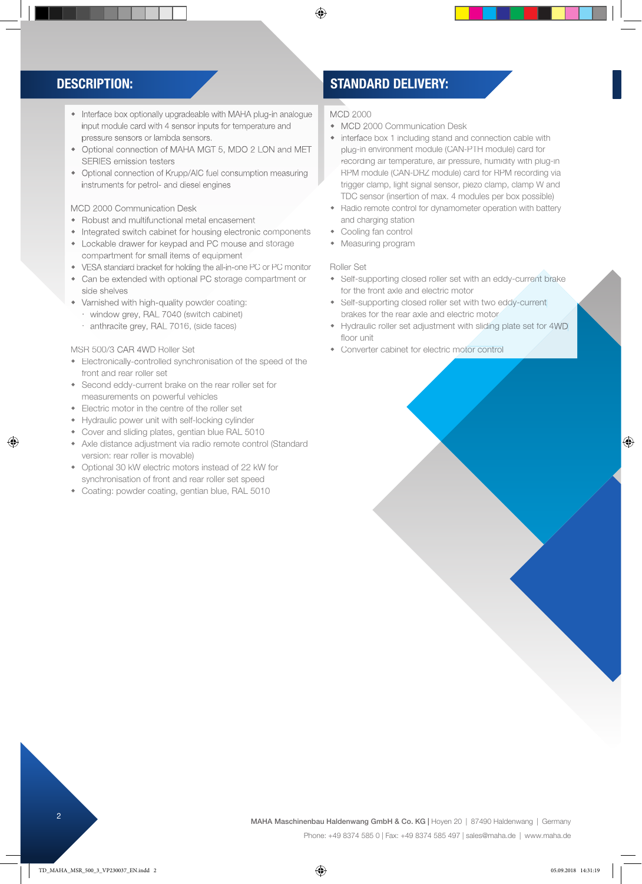- Interface box optionally upgradeable with MAHA plug-in analogue input module card with 4 sensor inputs for temperature and pressure sensors or lambda sensors.
- Optional connection of MAHA MGT 5, MDO 2 LON and MET SERIES emission testers
- Optional connection of Krupp/AIC fuel consumption measuring instruments for petrol- and diesel engines

## MCD 2000 Communication Desk

- Robust and multifunctional metal encasement
- Integrated switch cabinet for housing electronic components
- Lockable drawer for keypad and PC mouse and storage compartment for small items of equipment
- VESA standard bracket for holding the all-in-one PC or PC monitor
- Can be extended with optional PC storage compartment or side shelves
- Varnished with high-quality powder coating:
	- window grey, RAL 7040 (switch cabinet)
	- anthracite grey, RAL 7016, (side faces)

## MSR 500/3 CAR 4WD Roller Set

♠

- Electronically-controlled synchronisation of the speed of the front and rear roller set
- Second eddy-current brake on the rear roller set for measurements on powerful vehicles
- Electric motor in the centre of the roller set
- Hydraulic power unit with self-locking cylinder
- Cover and sliding plates, gentian blue RAL 5010
- Axle distance adjustment via radio remote control (Standard version: rear roller is movable)
- Optional 30 kW electric motors instead of 22 kW for synchronisation of front and rear roller set speed
- Coating: powder coating, gentian blue, RAL 5010

## DESCRIPTION: STANDARD DELIVERY:

### MCD 2000

◈

- MCD 2000 Communication Desk
- interface box 1 including stand and connection cable with plug-in environment module (CAN-PTH module) card for recording air temperature, air pressure, humidity with plug-in RPM module (CAN-DRZ module) card for RPM recording via trigger clamp, light signal sensor, piezo clamp, clamp W and TDC sensor (insertion of max. 4 modules per box possible)
- Radio remote control for dynamometer operation with battery and charging station
- Cooling fan control
- Measuring program

### Roller Set

- Self-supporting closed roller set with an eddy-current brake for the front axle and electric motor
- Self-supporting closed roller set with two eddy-current brakes for the rear axle and electric motor
- Hydraulic roller set adjustment with sliding plate set for 4WD floor unit
- Converter cabinet for electric motor control

⊕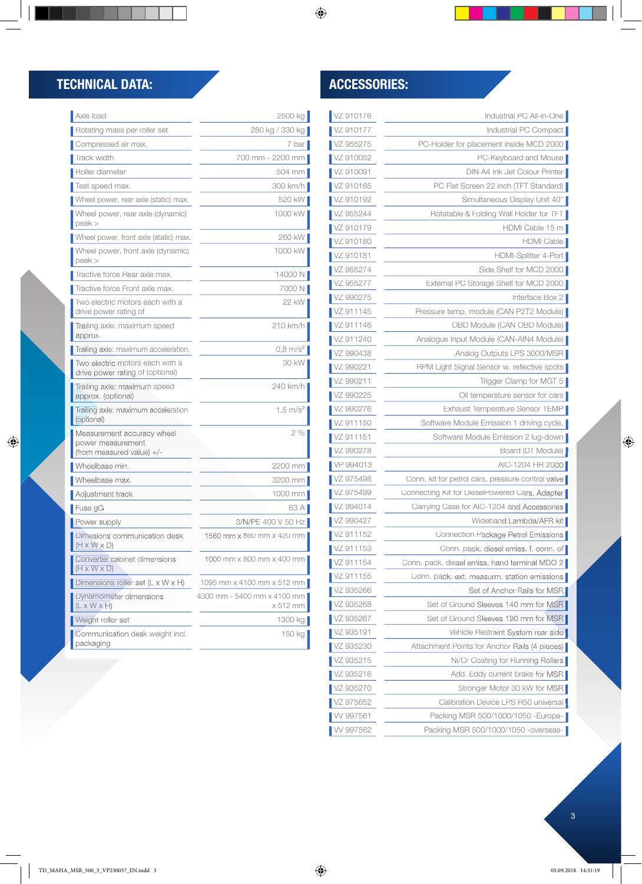$\bigoplus$ 

| VZ 910176 | Industrial PC All-in-One                          |
|-----------|---------------------------------------------------|
| VZ 910177 | Industrial PC Compact                             |
| VZ 955275 | PC-Holder for placement inside MCD 2000           |
| VZ 910052 | PC-Keyboard and Mouse                             |
| VZ 910091 | DIN A4 Ink Jet Colour Printer                     |
| VZ 910165 | PC Flat Screen 22 inch (TFT Standard)             |
| VZ 910192 | Simultaneous Display Unit 40"                     |
| VZ 955244 | Rotatable & Folding Wall Holder for TFT           |
| VZ 910179 | HDMI Cable 15 m                                   |
| VZ 910180 | HDMI Cable                                        |
| VZ 910181 | HDMI-Splitter 4-Port                              |
| VZ 955274 | Side Shelf for MCD 2000                           |
| VZ 955277 | External PC Storage Shelf for MCD 2000            |
| VZ 990275 | Interface Box 2                                   |
| VZ 911145 | Pressure temp. module (CAN P2T2 Module)           |
| VZ 911146 | OBD Module (CAN OBD Module)                       |
| VZ 911240 | Analogue Input Module (CAN-AIN4 Module)           |
| VZ 990438 | Analog Outputs LPS 3000/MSR                       |
| VZ 990221 | RPM Light Signal Sensor w. reflective spots       |
| VZ 990211 | Trigger Clamp for MGT 5                           |
| VZ 990225 | Oil temperature sensor for cars                   |
| VZ 990276 | Exhaust Temperature Sensor TEMP                   |
| VZ 911150 | Software Module Emission 1 driving cycle,         |
| VZ 911151 | Software Module Emission 2 lug-down               |
| VZ 990278 | Board (DT Module)                                 |
| VP 994013 | AIC-1204 HR 2000                                  |
| VZ 975498 | Conn. kit for petrol cars, pressure control valve |
| VZ 975499 | Connecting Kit for DieselPowered Cars, Adapter    |
| VZ 994014 | Carrying Case for AIC-1204 and Accessories        |
| VZ 990427 | Wideband Lambda/AFR kit                           |
| VZ 911152 | Connection Package Petrol Emissions               |
| VZ 911153 | Conn. pack. diesel emiss. f. conn. of             |
| VZ 911154 | Conn. pack. diesel emiss. hand terminal MDO 2     |
| VZ 911155 | Conn. pack. ext. measurm. station emissions       |
| VZ 935266 | Set of Anchor Rails for MSR                       |
| VZ 935268 | Set of Ground Sleeves 140 mm for MSR              |
| VZ 935267 | Set of Ground Sleeves 190 mm for MSB              |
| VZ 935191 | Vehicle Restraint System rear side                |
| VZ 935230 | Attachment Points for Anchor Rails (4 pieces)     |
| VZ 935215 | Ni/Cr Coating for Running Rollers                 |
| VZ 935216 | Add. Eddy current brake for MSR                   |
| VZ 935270 | Stronger Motor 30 kW for MSR                      |
| VZ 975652 | Calibration Device LPS R50 universal              |
| W 997561  | Packing MSR 500/1000/1050 - Europe-               |
| W 997562  | Packing MSR 500/1000/1050 -overseas-              |

# TECHNICAL DATA: ACCESSORIES:

 $\bigoplus$ 

| Axle load                                                                    | 2500 kg                                 |
|------------------------------------------------------------------------------|-----------------------------------------|
| Rotating mass per roller set                                                 | 280 kg / 330 kg                         |
| Compressed air max.                                                          | 7 bar                                   |
| Track width                                                                  | 700 mm - 2200 mm                        |
| Roller diameter                                                              | 504 mm                                  |
| Test speed max.                                                              | 300 km/h                                |
| Wheel power, rear axle (static) max.                                         | 520 kW                                  |
| Wheel power, rear axle (dynamic)<br>$peak$ $>$                               | 1000 kW                                 |
| Wheel power, front axle (static) max.                                        | 260 kW                                  |
| Wheel power, front axle (dynamic)<br>peak                                    | 1000 kW                                 |
| Tractive force Rear axle max.                                                | 14000 N                                 |
| Tractive force Front axle max.                                               | 7000 N                                  |
| Two electric motors each with a<br>drive power rating of                     | 22 kW                                   |
| Trailing axle: maximum speed<br>approx.                                      | 210 km/h                                |
| Trailing axle: maximum acceleration.                                         | $0,8 \text{ m/s}^2$                     |
| Two electric motors each with a<br>drive power rating of (optional)          | 30 kW                                   |
| Trailing axle: maximum speed<br>approx. (optional)                           | 240 km/h                                |
| Trailing axle: maximum acceleration<br>(optional)                            | $1.5 \text{ m/s}^2$                     |
| Measurement accuracy wheel<br>power measurement<br>(from measured value) +/- | 2%                                      |
| Wheelbase min.                                                               | 2200 mm                                 |
| Wheelbase max.                                                               | 3200 mm                                 |
| Adjustment track                                                             | 1000 mm                                 |
| Fuse gG                                                                      | 63 A                                    |
| Power supply                                                                 | 3/N/PF 400 V 50 Hz                      |
| Dimesions communication desk<br>$(H \times W \times D)$                      | 1560 mm x 860 mm x 420 mm               |
| Converter cabinet dimensions<br>$(H \times W \times D)$                      | 1000 mm x 800 mm x 400 mm               |
| Dimensions roller set (L x W x H)                                            | 1095 mm x 4100 mm x 512 mm              |
| Dynamometer dimensions<br>(L x W x H)                                        | 4300 mm - 5400 mm x 4100 mm<br>x 512 mm |
| Weight roller set                                                            | 1300 kg                                 |
| Communication desk weight incl.<br>packaging                                 | 150 kg                                  |
|                                                                              |                                         |